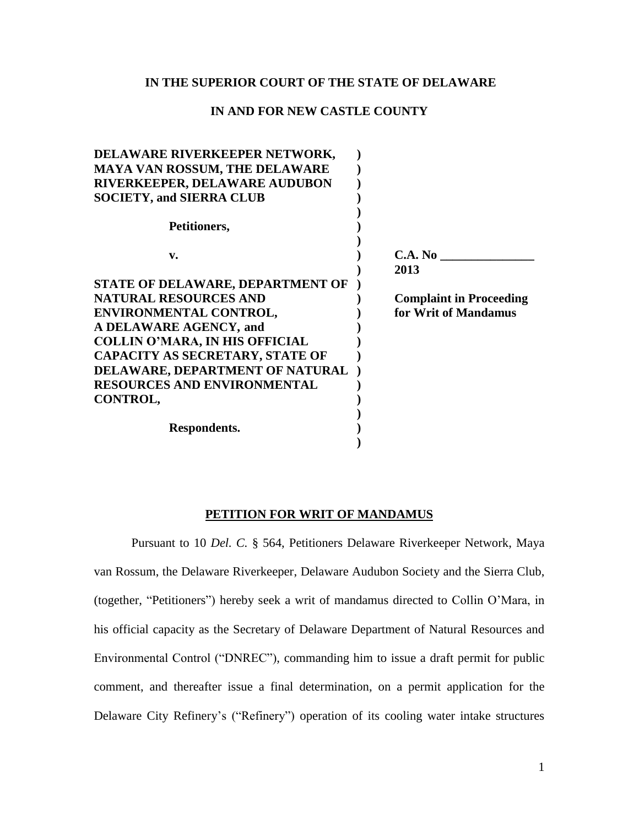## **IN THE SUPERIOR COURT OF THE STATE OF DELAWARE**

## **IN AND FOR NEW CASTLE COUNTY**

| DELAWARE RIVERKEEPER NETWORK,          |                                |
|----------------------------------------|--------------------------------|
| <b>MAYA VAN ROSSUM, THE DELAWARE</b>   |                                |
| <b>RIVERKEEPER, DELAWARE AUDUBON</b>   |                                |
| <b>SOCIETY, and SIERRA CLUB</b>        |                                |
|                                        |                                |
| Petitioners,                           |                                |
|                                        |                                |
| v.                                     | C.A. No                        |
|                                        | 2013                           |
| STATE OF DELAWARE, DEPARTMENT OF       |                                |
| <b>NATURAL RESOURCES AND</b>           | <b>Complaint in Proceeding</b> |
| ENVIRONMENTAL CONTROL,                 | for Writ of Mandamus           |
| A DELAWARE AGENCY, and                 |                                |
| <b>COLLIN O'MARA, IN HIS OFFICIAL</b>  |                                |
| <b>CAPACITY AS SECRETARY, STATE OF</b> |                                |
| DELAWARE, DEPARTMENT OF NATURAL        |                                |
| <b>RESOURCES AND ENVIRONMENTAL</b>     |                                |
| CONTROL,                               |                                |
|                                        |                                |
| Respondents.                           |                                |
|                                        |                                |
|                                        |                                |

#### **PETITION FOR WRIT OF MANDAMUS**

Pursuant to 10 *Del. C.* § 564, Petitioners Delaware Riverkeeper Network, Maya van Rossum, the Delaware Riverkeeper, Delaware Audubon Society and the Sierra Club, (together, "Petitioners") hereby seek a writ of mandamus directed to Collin O'Mara, in his official capacity as the Secretary of Delaware Department of Natural Resources and Environmental Control ("DNREC"), commanding him to issue a draft permit for public comment, and thereafter issue a final determination, on a permit application for the Delaware City Refinery's ("Refinery") operation of its cooling water intake structures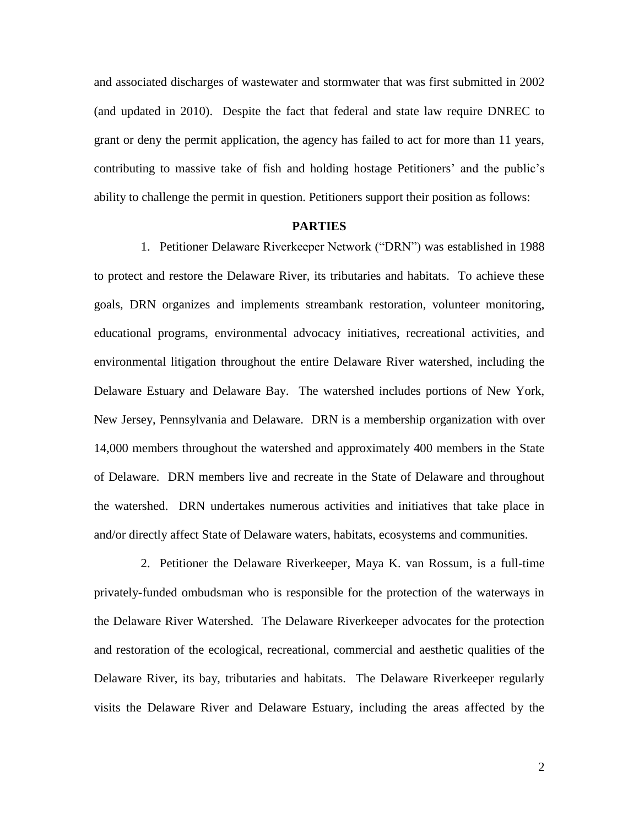and associated discharges of wastewater and stormwater that was first submitted in 2002 (and updated in 2010). Despite the fact that federal and state law require DNREC to grant or deny the permit application, the agency has failed to act for more than 11 years, contributing to massive take of fish and holding hostage Petitioners' and the public's ability to challenge the permit in question. Petitioners support their position as follows:

### **PARTIES**

1. Petitioner Delaware Riverkeeper Network ("DRN") was established in 1988 to protect and restore the Delaware River, its tributaries and habitats. To achieve these goals, DRN organizes and implements streambank restoration, volunteer monitoring, educational programs, environmental advocacy initiatives, recreational activities, and environmental litigation throughout the entire Delaware River watershed, including the Delaware Estuary and Delaware Bay. The watershed includes portions of New York, New Jersey, Pennsylvania and Delaware. DRN is a membership organization with over 14,000 members throughout the watershed and approximately 400 members in the State of Delaware. DRN members live and recreate in the State of Delaware and throughout the watershed. DRN undertakes numerous activities and initiatives that take place in and/or directly affect State of Delaware waters, habitats, ecosystems and communities.

2. Petitioner the Delaware Riverkeeper, Maya K. van Rossum, is a full-time privately-funded ombudsman who is responsible for the protection of the waterways in the Delaware River Watershed. The Delaware Riverkeeper advocates for the protection and restoration of the ecological, recreational, commercial and aesthetic qualities of the Delaware River, its bay, tributaries and habitats. The Delaware Riverkeeper regularly visits the Delaware River and Delaware Estuary, including the areas affected by the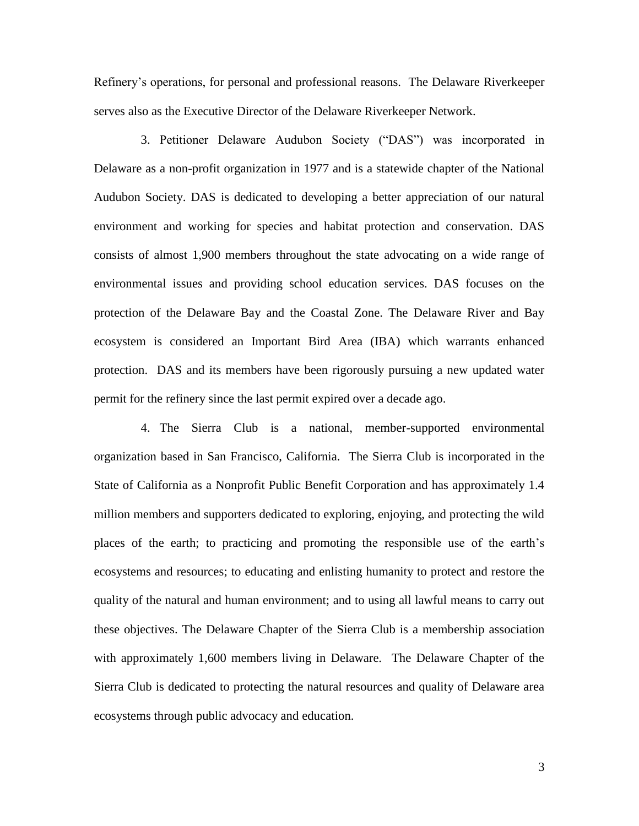Refinery's operations, for personal and professional reasons. The Delaware Riverkeeper serves also as the Executive Director of the Delaware Riverkeeper Network.

3. Petitioner Delaware Audubon Society ("DAS") was incorporated in Delaware as a non-profit organization in 1977 and is a statewide chapter of the National Audubon Society. DAS is dedicated to developing a better appreciation of our natural environment and working for species and habitat protection and conservation. DAS consists of almost 1,900 members throughout the state advocating on a wide range of environmental issues and providing school education services. DAS focuses on the protection of the Delaware Bay and the Coastal Zone. The Delaware River and Bay ecosystem is considered an Important Bird Area (IBA) which warrants enhanced protection. DAS and its members have been rigorously pursuing a new updated water permit for the refinery since the last permit expired over a decade ago.

4. The Sierra Club is a national, member-supported environmental organization based in San Francisco, California. The Sierra Club is incorporated in the State of California as a Nonprofit Public Benefit Corporation and has approximately 1.4 million members and supporters dedicated to exploring, enjoying, and protecting the wild places of the earth; to practicing and promoting the responsible use of the earth's ecosystems and resources; to educating and enlisting humanity to protect and restore the quality of the natural and human environment; and to using all lawful means to carry out these objectives. The Delaware Chapter of the Sierra Club is a membership association with approximately 1,600 members living in Delaware. The Delaware Chapter of the Sierra Club is dedicated to protecting the natural resources and quality of Delaware area ecosystems through public advocacy and education.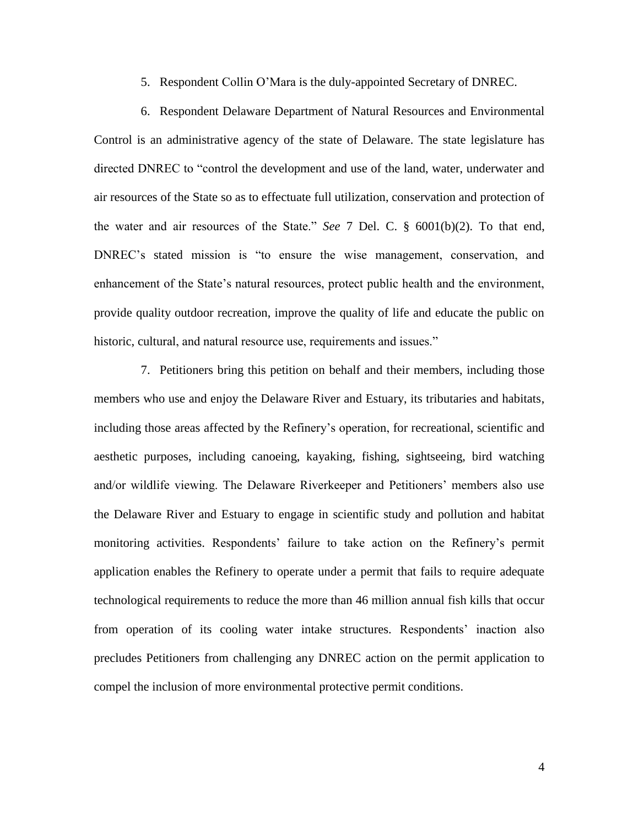5. Respondent Collin O'Mara is the duly-appointed Secretary of DNREC.

6. Respondent Delaware Department of Natural Resources and Environmental Control is an administrative agency of the state of Delaware. The state legislature has directed DNREC to "control the development and use of the land, water, underwater and air resources of the State so as to effectuate full utilization, conservation and protection of the water and air resources of the State." *See* 7 Del. C. § 6001(b)(2). To that end, DNREC's stated mission is "to ensure the wise management, conservation, and enhancement of the State's natural resources, protect public health and the environment, provide quality outdoor recreation, improve the quality of life and educate the public on historic, cultural, and natural resource use, requirements and issues."

7. Petitioners bring this petition on behalf and their members, including those members who use and enjoy the Delaware River and Estuary, its tributaries and habitats, including those areas affected by the Refinery's operation, for recreational, scientific and aesthetic purposes, including canoeing, kayaking, fishing, sightseeing, bird watching and/or wildlife viewing. The Delaware Riverkeeper and Petitioners' members also use the Delaware River and Estuary to engage in scientific study and pollution and habitat monitoring activities. Respondents' failure to take action on the Refinery's permit application enables the Refinery to operate under a permit that fails to require adequate technological requirements to reduce the more than 46 million annual fish kills that occur from operation of its cooling water intake structures. Respondents' inaction also precludes Petitioners from challenging any DNREC action on the permit application to compel the inclusion of more environmental protective permit conditions.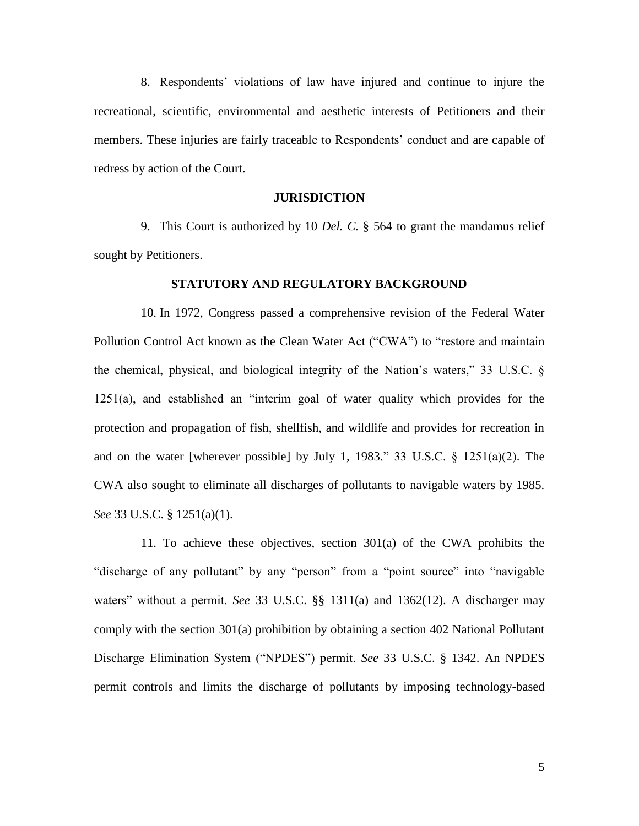8. Respondents' violations of law have injured and continue to injure the recreational, scientific, environmental and aesthetic interests of Petitioners and their members. These injuries are fairly traceable to Respondents' conduct and are capable of redress by action of the Court.

### **JURISDICTION**

9. This Court is authorized by 10 *Del. C.* § 564 to grant the mandamus relief sought by Petitioners.

#### **STATUTORY AND REGULATORY BACKGROUND**

10. In 1972, Congress passed a comprehensive revision of the Federal Water Pollution Control Act known as the Clean Water Act ("CWA") to "restore and maintain the chemical, physical, and biological integrity of the Nation's waters," 33 U.S.C. § 1251(a), and established an "interim goal of water quality which provides for the protection and propagation of fish, shellfish, and wildlife and provides for recreation in and on the water [wherever possible] by July 1, 1983." 33 U.S.C. § 1251(a)(2). The CWA also sought to eliminate all discharges of pollutants to navigable waters by 1985. *See* 33 U.S.C. § 1251(a)(1).

11. To achieve these objectives, section 301(a) of the CWA prohibits the "discharge of any pollutant" by any "person" from a "point source" into "navigable waters" without a permit. *See* 33 U.S.C. §§ 1311(a) and 1362(12). A discharger may comply with the section 301(a) prohibition by obtaining a section 402 National Pollutant Discharge Elimination System ("NPDES") permit. *See* 33 U.S.C. § 1342. An NPDES permit controls and limits the discharge of pollutants by imposing technology-based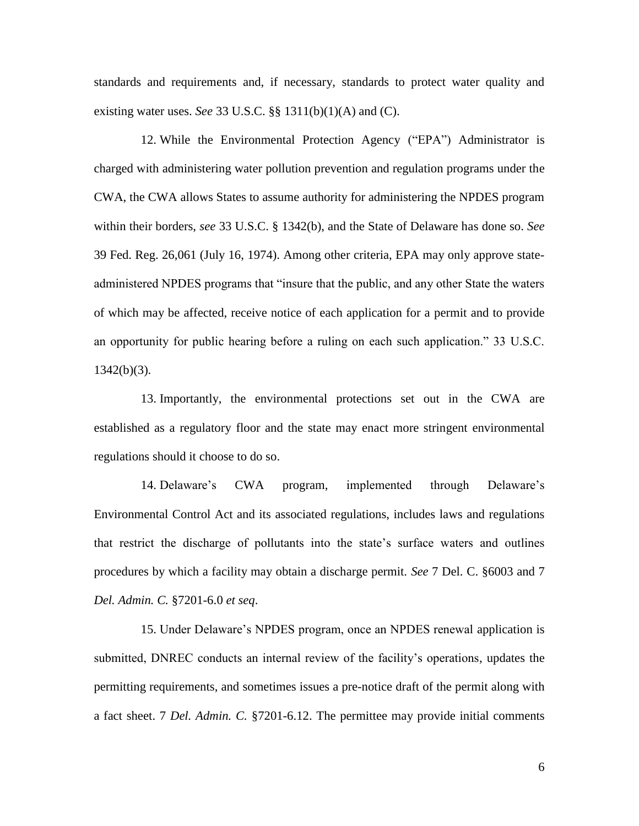standards and requirements and, if necessary, standards to protect water quality and existing water uses. *See* 33 U.S.C. §§ 1311(b)(1)(A) and (C).

12. While the Environmental Protection Agency ("EPA") Administrator is charged with administering water pollution prevention and regulation programs under the CWA, the CWA allows States to assume authority for administering the NPDES program within their borders, *see* 33 U.S.C. § 1342(b), and the State of Delaware has done so. *See* 39 Fed. Reg. 26,061 (July 16, 1974). Among other criteria, EPA may only approve stateadministered NPDES programs that "insure that the public, and any other State the waters of which may be affected, receive notice of each application for a permit and to provide an opportunity for public hearing before a ruling on each such application." 33 U.S.C.  $1342(b)(3)$ .

13. Importantly, the environmental protections set out in the CWA are established as a regulatory floor and the state may enact more stringent environmental regulations should it choose to do so.

14. Delaware's CWA program, implemented through Delaware's Environmental Control Act and its associated regulations, includes laws and regulations that restrict the discharge of pollutants into the state's surface waters and outlines procedures by which a facility may obtain a discharge permit. *See* 7 Del. C. §6003 and 7 *Del. Admin. C.* §7201-6.0 *et seq*.

15. Under Delaware's NPDES program, once an NPDES renewal application is submitted, DNREC conducts an internal review of the facility's operations, updates the permitting requirements, and sometimes issues a pre-notice draft of the permit along with a fact sheet. 7 *Del. Admin. C.* §7201-6.12. The permittee may provide initial comments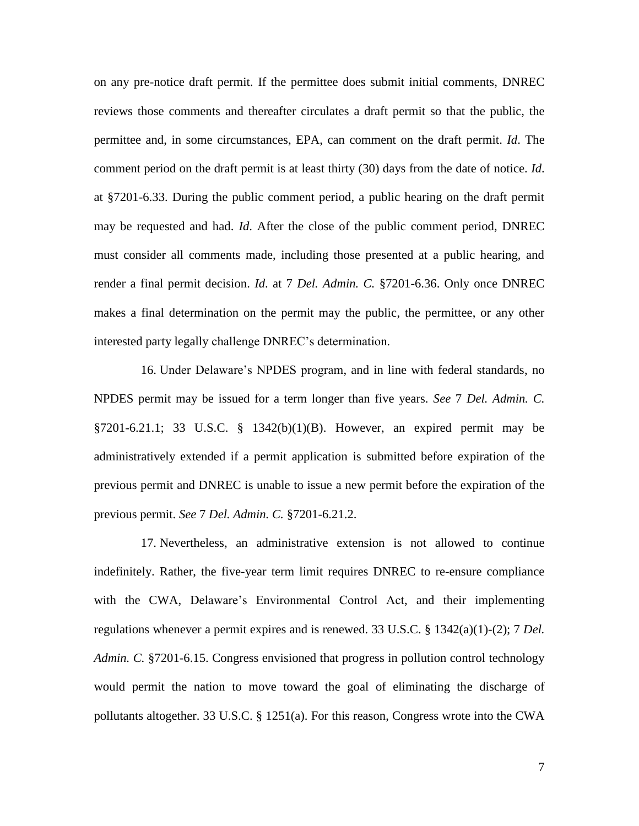on any pre-notice draft permit. If the permittee does submit initial comments, DNREC reviews those comments and thereafter circulates a draft permit so that the public, the permittee and, in some circumstances, EPA, can comment on the draft permit. *Id*. The comment period on the draft permit is at least thirty (30) days from the date of notice. *Id*. at §7201-6.33. During the public comment period, a public hearing on the draft permit may be requested and had. *Id*. After the close of the public comment period, DNREC must consider all comments made, including those presented at a public hearing, and render a final permit decision. *Id*. at 7 *Del. Admin. C.* §7201-6.36. Only once DNREC makes a final determination on the permit may the public, the permittee, or any other interested party legally challenge DNREC's determination.

16. Under Delaware's NPDES program, and in line with federal standards, no NPDES permit may be issued for a term longer than five years. *See* 7 *Del. Admin. C.* §7201-6.21.1; 33 U.S.C. § 1342(b)(1)(B). However, an expired permit may be administratively extended if a permit application is submitted before expiration of the previous permit and DNREC is unable to issue a new permit before the expiration of the previous permit. *See* 7 *Del. Admin. C.* §7201-6.21.2.

17. Nevertheless, an administrative extension is not allowed to continue indefinitely. Rather, the five-year term limit requires DNREC to re-ensure compliance with the CWA, Delaware's Environmental Control Act, and their implementing regulations whenever a permit expires and is renewed. 33 U.S.C. § 1342(a)(1)-(2); 7 *Del. Admin. C.* §7201-6.15. Congress envisioned that progress in pollution control technology would permit the nation to move toward the goal of eliminating the discharge of pollutants altogether. 33 U.S.C. § 1251(a). For this reason, Congress wrote into the CWA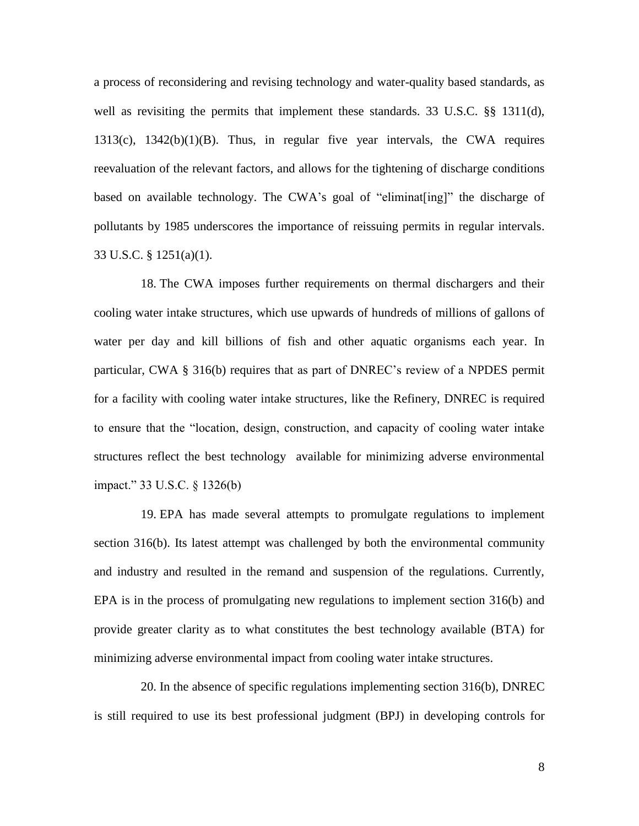a process of reconsidering and revising technology and water-quality based standards, as well as revisiting the permits that implement these standards. 33 U.S.C. §§ 1311(d), 1313(c), 1342(b)(1)(B). Thus, in regular five year intervals, the CWA requires reevaluation of the relevant factors, and allows for the tightening of discharge conditions based on available technology. The CWA's goal of "eliminat[ing]" the discharge of pollutants by 1985 underscores the importance of reissuing permits in regular intervals. 33 U.S.C. § 1251(a)(1).

18. The CWA imposes further requirements on thermal dischargers and their cooling water intake structures, which use upwards of hundreds of millions of gallons of water per day and kill billions of fish and other aquatic organisms each year. In particular, CWA § 316(b) requires that as part of DNREC's review of a NPDES permit for a facility with cooling water intake structures, like the Refinery, DNREC is required to ensure that the "location, design, construction, and capacity of cooling water intake structures reflect the best technology available for minimizing adverse environmental impact." 33 U.S.C. § 1326(b)

19. EPA has made several attempts to promulgate regulations to implement section 316(b). Its latest attempt was challenged by both the environmental community and industry and resulted in the remand and suspension of the regulations. Currently, EPA is in the process of promulgating new regulations to implement section 316(b) and provide greater clarity as to what constitutes the best technology available (BTA) for minimizing adverse environmental impact from cooling water intake structures.

20. In the absence of specific regulations implementing section 316(b), DNREC is still required to use its best professional judgment (BPJ) in developing controls for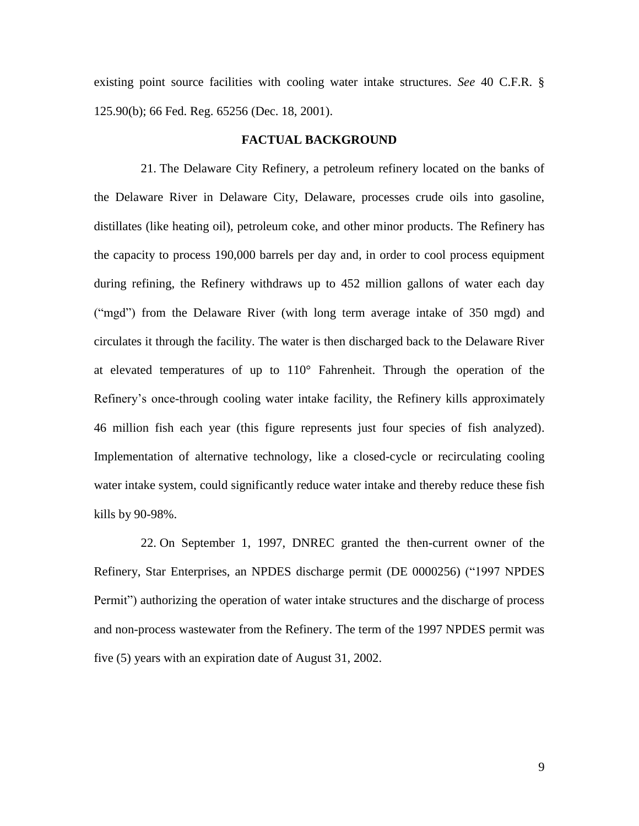existing point source facilities with cooling water intake structures. *See* 40 C.F.R. § 125.90(b); 66 Fed. Reg. 65256 (Dec. 18, 2001).

### **FACTUAL BACKGROUND**

21. The Delaware City Refinery, a petroleum refinery located on the banks of the Delaware River in Delaware City, Delaware, processes crude oils into gasoline, distillates (like heating oil), petroleum coke, and other minor products. The Refinery has the capacity to process 190,000 barrels per day and, in order to cool process equipment during refining, the Refinery withdraws up to 452 million gallons of water each day ("mgd") from the Delaware River (with long term average intake of 350 mgd) and circulates it through the facility. The water is then discharged back to the Delaware River at elevated temperatures of up to 110° Fahrenheit. Through the operation of the Refinery's once-through cooling water intake facility, the Refinery kills approximately 46 million fish each year (this figure represents just four species of fish analyzed). Implementation of alternative technology, like a closed-cycle or recirculating cooling water intake system, could significantly reduce water intake and thereby reduce these fish kills by 90-98%.

22. On September 1, 1997, DNREC granted the then-current owner of the Refinery, Star Enterprises, an NPDES discharge permit (DE 0000256) ("1997 NPDES Permit") authorizing the operation of water intake structures and the discharge of process and non-process wastewater from the Refinery. The term of the 1997 NPDES permit was five (5) years with an expiration date of August 31, 2002.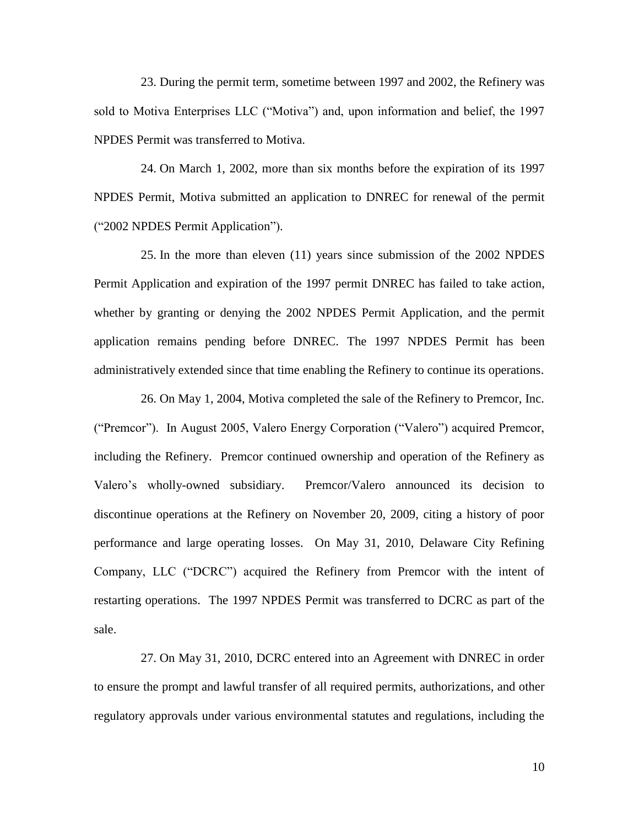23. During the permit term, sometime between 1997 and 2002, the Refinery was sold to Motiva Enterprises LLC ("Motiva") and, upon information and belief, the 1997 NPDES Permit was transferred to Motiva.

24. On March 1, 2002, more than six months before the expiration of its 1997 NPDES Permit, Motiva submitted an application to DNREC for renewal of the permit ("2002 NPDES Permit Application").

25. In the more than eleven (11) years since submission of the 2002 NPDES Permit Application and expiration of the 1997 permit DNREC has failed to take action, whether by granting or denying the 2002 NPDES Permit Application, and the permit application remains pending before DNREC. The 1997 NPDES Permit has been administratively extended since that time enabling the Refinery to continue its operations.

26. On May 1, 2004, Motiva completed the sale of the Refinery to Premcor, Inc. ("Premcor"). In August 2005, Valero Energy Corporation ("Valero") acquired Premcor, including the Refinery. Premcor continued ownership and operation of the Refinery as Valero's wholly-owned subsidiary. Premcor/Valero announced its decision to discontinue operations at the Refinery on November 20, 2009, citing a history of poor performance and large operating losses. On May 31, 2010, Delaware City Refining Company, LLC ("DCRC") acquired the Refinery from Premcor with the intent of restarting operations. The 1997 NPDES Permit was transferred to DCRC as part of the sale.

27. On May 31, 2010, DCRC entered into an Agreement with DNREC in order to ensure the prompt and lawful transfer of all required permits, authorizations, and other regulatory approvals under various environmental statutes and regulations, including the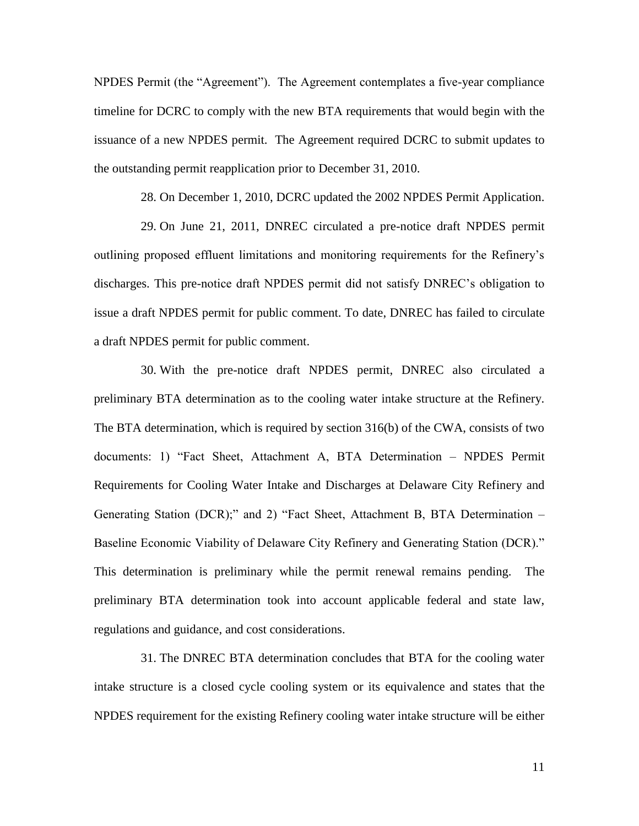NPDES Permit (the "Agreement"). The Agreement contemplates a five-year compliance timeline for DCRC to comply with the new BTA requirements that would begin with the issuance of a new NPDES permit. The Agreement required DCRC to submit updates to the outstanding permit reapplication prior to December 31, 2010.

28. On December 1, 2010, DCRC updated the 2002 NPDES Permit Application.

29. On June 21, 2011, DNREC circulated a pre-notice draft NPDES permit outlining proposed effluent limitations and monitoring requirements for the Refinery's discharges. This pre-notice draft NPDES permit did not satisfy DNREC's obligation to issue a draft NPDES permit for public comment. To date, DNREC has failed to circulate a draft NPDES permit for public comment.

30. With the pre-notice draft NPDES permit, DNREC also circulated a preliminary BTA determination as to the cooling water intake structure at the Refinery. The BTA determination, which is required by section 316(b) of the CWA, consists of two documents: 1) "Fact Sheet, Attachment A, BTA Determination – NPDES Permit Requirements for Cooling Water Intake and Discharges at Delaware City Refinery and Generating Station (DCR);" and 2) "Fact Sheet, Attachment B, BTA Determination – Baseline Economic Viability of Delaware City Refinery and Generating Station (DCR)." This determination is preliminary while the permit renewal remains pending. The preliminary BTA determination took into account applicable federal and state law, regulations and guidance, and cost considerations.

31. The DNREC BTA determination concludes that BTA for the cooling water intake structure is a closed cycle cooling system or its equivalence and states that the NPDES requirement for the existing Refinery cooling water intake structure will be either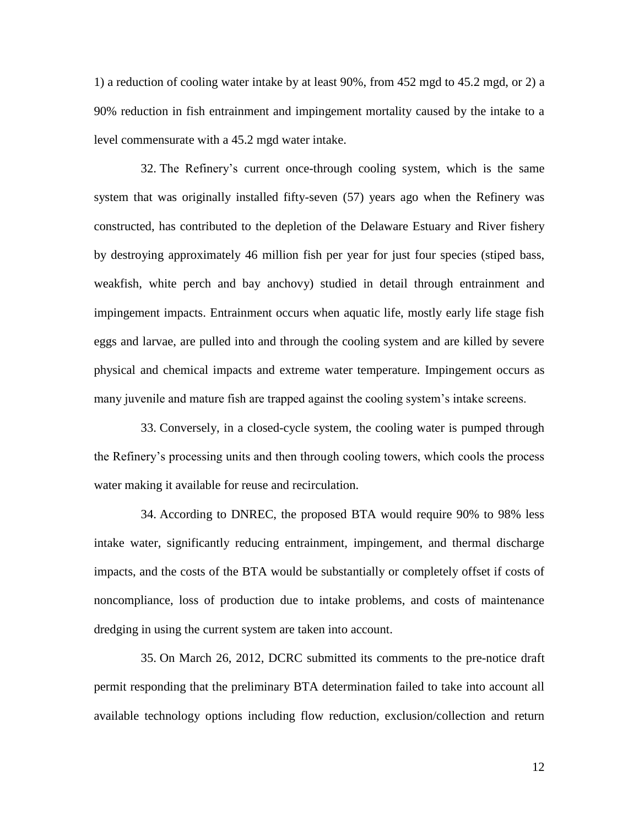1) a reduction of cooling water intake by at least 90%, from 452 mgd to 45.2 mgd, or 2) a 90% reduction in fish entrainment and impingement mortality caused by the intake to a level commensurate with a 45.2 mgd water intake.

32. The Refinery's current once-through cooling system, which is the same system that was originally installed fifty-seven (57) years ago when the Refinery was constructed, has contributed to the depletion of the Delaware Estuary and River fishery by destroying approximately 46 million fish per year for just four species (stiped bass, weakfish, white perch and bay anchovy) studied in detail through entrainment and impingement impacts. Entrainment occurs when aquatic life, mostly early life stage fish eggs and larvae, are pulled into and through the cooling system and are killed by severe physical and chemical impacts and extreme water temperature. Impingement occurs as many juvenile and mature fish are trapped against the cooling system's intake screens.

33. Conversely, in a closed-cycle system, the cooling water is pumped through the Refinery's processing units and then through cooling towers, which cools the process water making it available for reuse and recirculation.

34. According to DNREC, the proposed BTA would require 90% to 98% less intake water, significantly reducing entrainment, impingement, and thermal discharge impacts, and the costs of the BTA would be substantially or completely offset if costs of noncompliance, loss of production due to intake problems, and costs of maintenance dredging in using the current system are taken into account.

35. On March 26, 2012, DCRC submitted its comments to the pre-notice draft permit responding that the preliminary BTA determination failed to take into account all available technology options including flow reduction, exclusion/collection and return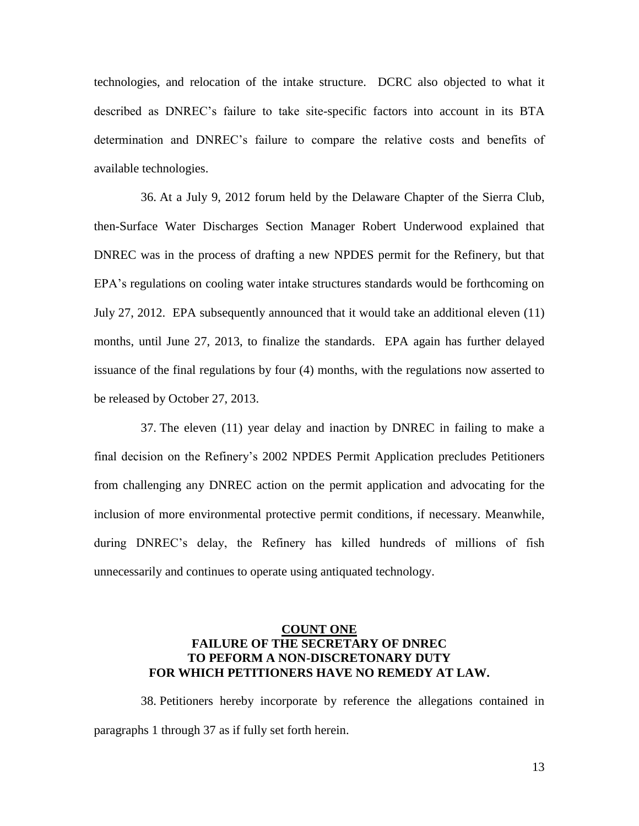technologies, and relocation of the intake structure. DCRC also objected to what it described as DNREC's failure to take site-specific factors into account in its BTA determination and DNREC's failure to compare the relative costs and benefits of available technologies.

36. At a July 9, 2012 forum held by the Delaware Chapter of the Sierra Club, then-Surface Water Discharges Section Manager Robert Underwood explained that DNREC was in the process of drafting a new NPDES permit for the Refinery, but that EPA's regulations on cooling water intake structures standards would be forthcoming on July 27, 2012. EPA subsequently announced that it would take an additional eleven (11) months, until June 27, 2013, to finalize the standards. EPA again has further delayed issuance of the final regulations by four (4) months, with the regulations now asserted to be released by October 27, 2013.

37. The eleven (11) year delay and inaction by DNREC in failing to make a final decision on the Refinery's 2002 NPDES Permit Application precludes Petitioners from challenging any DNREC action on the permit application and advocating for the inclusion of more environmental protective permit conditions, if necessary. Meanwhile, during DNREC's delay, the Refinery has killed hundreds of millions of fish unnecessarily and continues to operate using antiquated technology.

# **COUNT ONE FAILURE OF THE SECRETARY OF DNREC TO PEFORM A NON-DISCRETONARY DUTY FOR WHICH PETITIONERS HAVE NO REMEDY AT LAW.**

38. Petitioners hereby incorporate by reference the allegations contained in paragraphs 1 through 37 as if fully set forth herein.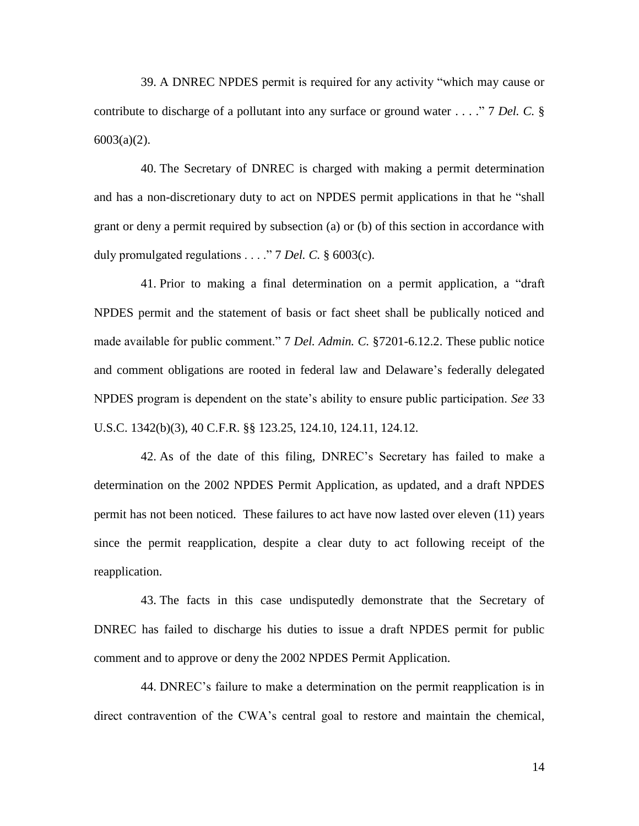39. A DNREC NPDES permit is required for any activity "which may cause or contribute to discharge of a pollutant into any surface or ground water . . . ." 7 *Del. C.* § 6003(a)(2).

40. The Secretary of DNREC is charged with making a permit determination and has a non-discretionary duty to act on NPDES permit applications in that he "shall grant or deny a permit required by subsection (a) or (b) of this section in accordance with duly promulgated regulations . . . ." 7 *Del. C.* § 6003(c).

41. Prior to making a final determination on a permit application, a "draft NPDES permit and the statement of basis or fact sheet shall be publically noticed and made available for public comment." 7 *Del. Admin. C.* §7201-6.12.2. These public notice and comment obligations are rooted in federal law and Delaware's federally delegated NPDES program is dependent on the state's ability to ensure public participation. *See* 33 U.S.C. 1342(b)(3), 40 C.F.R. §§ 123.25, 124.10, 124.11, 124.12.

42. As of the date of this filing, DNREC's Secretary has failed to make a determination on the 2002 NPDES Permit Application, as updated, and a draft NPDES permit has not been noticed. These failures to act have now lasted over eleven (11) years since the permit reapplication, despite a clear duty to act following receipt of the reapplication.

43. The facts in this case undisputedly demonstrate that the Secretary of DNREC has failed to discharge his duties to issue a draft NPDES permit for public comment and to approve or deny the 2002 NPDES Permit Application.

44. DNREC's failure to make a determination on the permit reapplication is in direct contravention of the CWA's central goal to restore and maintain the chemical,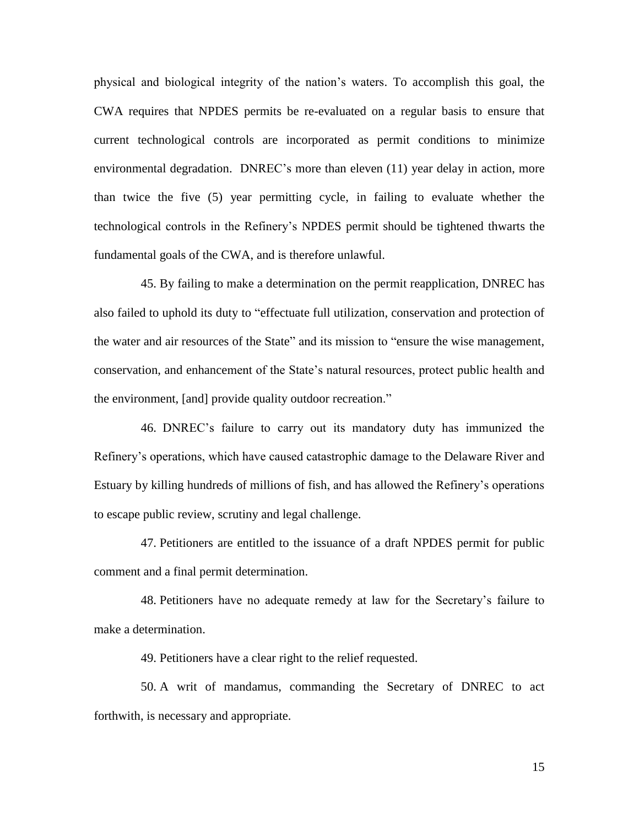physical and biological integrity of the nation's waters. To accomplish this goal, the CWA requires that NPDES permits be re-evaluated on a regular basis to ensure that current technological controls are incorporated as permit conditions to minimize environmental degradation. DNREC's more than eleven (11) year delay in action, more than twice the five (5) year permitting cycle, in failing to evaluate whether the technological controls in the Refinery's NPDES permit should be tightened thwarts the fundamental goals of the CWA, and is therefore unlawful.

45. By failing to make a determination on the permit reapplication, DNREC has also failed to uphold its duty to "effectuate full utilization, conservation and protection of the water and air resources of the State" and its mission to "ensure the wise management, conservation, and enhancement of the State's natural resources, protect public health and the environment, [and] provide quality outdoor recreation."

46. DNREC's failure to carry out its mandatory duty has immunized the Refinery's operations, which have caused catastrophic damage to the Delaware River and Estuary by killing hundreds of millions of fish, and has allowed the Refinery's operations to escape public review, scrutiny and legal challenge.

47. Petitioners are entitled to the issuance of a draft NPDES permit for public comment and a final permit determination.

48. Petitioners have no adequate remedy at law for the Secretary's failure to make a determination.

49. Petitioners have a clear right to the relief requested.

50. A writ of mandamus, commanding the Secretary of DNREC to act forthwith, is necessary and appropriate.